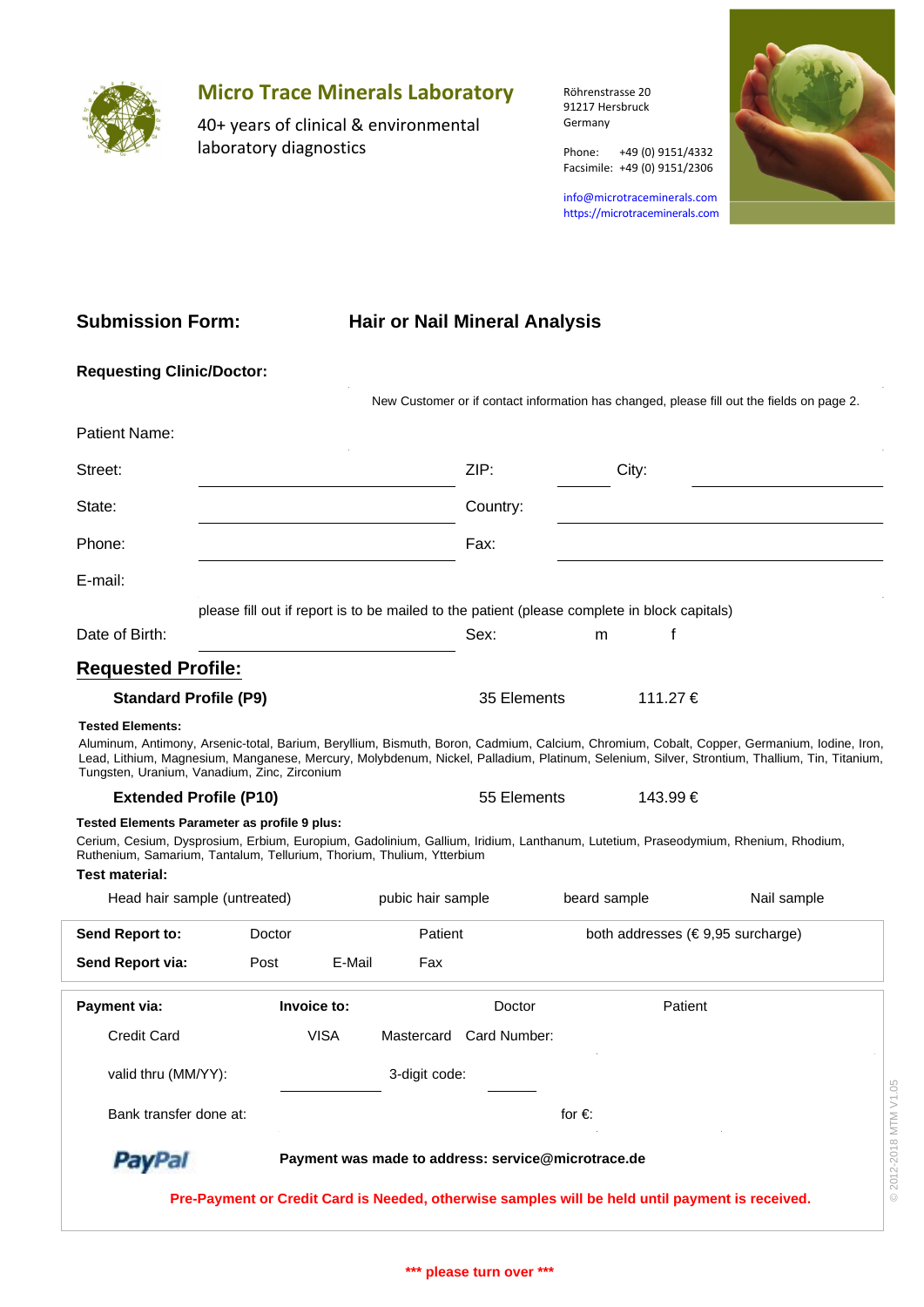

## **Micro Trace Minerals Laboratory**

40+ years of clinical & environmental laboratory diagnostics

Röhrenstrasse 20 91217 Hersbruck Germany

Phone: +49 (0) 9151/4332 Facsimile: +49 (0) 9151/2306

info@microtraceminerals.com <https://microtraceminerals.com>



### **Submission Form:**

# **Hair or Nail Mineral Analysis**

| ZIP:                                                                  | City:        |                                                                                                                                                                                                                                                                                                                                                                                                                                                                                                                                                                                                                                                                                      |
|-----------------------------------------------------------------------|--------------|--------------------------------------------------------------------------------------------------------------------------------------------------------------------------------------------------------------------------------------------------------------------------------------------------------------------------------------------------------------------------------------------------------------------------------------------------------------------------------------------------------------------------------------------------------------------------------------------------------------------------------------------------------------------------------------|
| Country:                                                              |              |                                                                                                                                                                                                                                                                                                                                                                                                                                                                                                                                                                                                                                                                                      |
| Fax:                                                                  |              |                                                                                                                                                                                                                                                                                                                                                                                                                                                                                                                                                                                                                                                                                      |
|                                                                       |              |                                                                                                                                                                                                                                                                                                                                                                                                                                                                                                                                                                                                                                                                                      |
|                                                                       |              |                                                                                                                                                                                                                                                                                                                                                                                                                                                                                                                                                                                                                                                                                      |
| Sex:                                                                  | f<br>m       |                                                                                                                                                                                                                                                                                                                                                                                                                                                                                                                                                                                                                                                                                      |
|                                                                       |              |                                                                                                                                                                                                                                                                                                                                                                                                                                                                                                                                                                                                                                                                                      |
|                                                                       | 111.27 €     |                                                                                                                                                                                                                                                                                                                                                                                                                                                                                                                                                                                                                                                                                      |
|                                                                       | 143.99€      |                                                                                                                                                                                                                                                                                                                                                                                                                                                                                                                                                                                                                                                                                      |
| Ruthenium, Samarium, Tantalum, Tellurium, Thorium, Thulium, Ytterbium |              |                                                                                                                                                                                                                                                                                                                                                                                                                                                                                                                                                                                                                                                                                      |
| pubic hair sample                                                     | beard sample | Nail sample                                                                                                                                                                                                                                                                                                                                                                                                                                                                                                                                                                                                                                                                          |
| Patient                                                               |              | both addresses ( $\in$ 9,95 surcharge)                                                                                                                                                                                                                                                                                                                                                                                                                                                                                                                                                                                                                                               |
| E-Mail<br>Fax                                                         |              |                                                                                                                                                                                                                                                                                                                                                                                                                                                                                                                                                                                                                                                                                      |
| Doctor                                                                | Patient      |                                                                                                                                                                                                                                                                                                                                                                                                                                                                                                                                                                                                                                                                                      |
|                                                                       |              |                                                                                                                                                                                                                                                                                                                                                                                                                                                                                                                                                                                                                                                                                      |
| 3-digit code:                                                         |              |                                                                                                                                                                                                                                                                                                                                                                                                                                                                                                                                                                                                                                                                                      |
|                                                                       | for $\in$    | © 2012-2018 MTM V1.05                                                                                                                                                                                                                                                                                                                                                                                                                                                                                                                                                                                                                                                                |
| Payment was made to address: service@microtrace.de                    |              |                                                                                                                                                                                                                                                                                                                                                                                                                                                                                                                                                                                                                                                                                      |
|                                                                       |              |                                                                                                                                                                                                                                                                                                                                                                                                                                                                                                                                                                                                                                                                                      |
|                                                                       |              | New Customer or if contact information has changed, please fill out the fields on page 2.<br>please fill out if report is to be mailed to the patient (please complete in block capitals)<br>35 Elements<br>Aluminum, Antimony, Arsenic-total, Barium, Beryllium, Bismuth, Boron, Cadmium, Calcium, Chromium, Cobalt, Copper, Germanium, Iodine, Iron,<br>Lead, Lithium, Magnesium, Manganese, Mercury, Molybdenum, Nickel, Palladium, Platinum, Selenium, Silver, Strontium, Thallium, Tin, Titanium,<br>55 Elements<br>Cerium, Cesium, Dysprosium, Erbium, Europium, Gadolinium, Gallium, Iridium, Lanthanum, Lutetium, Praseodymium, Rhenium, Rhodium,<br>Mastercard Card Number: |